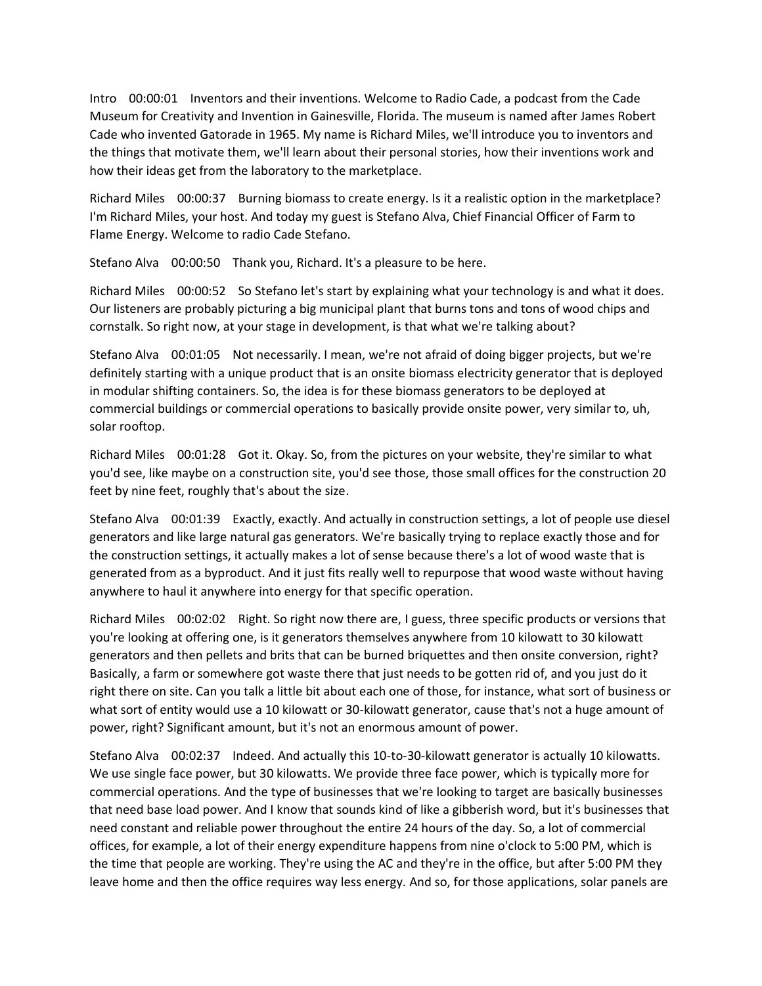Intro 00:00:01 Inventors and their inventions. Welcome to Radio Cade, a podcast from the Cade Museum for Creativity and Invention in Gainesville, Florida. The museum is named after James Robert Cade who invented Gatorade in 1965. My name is Richard Miles, we'll introduce you to inventors and the things that motivate them, we'll learn about their personal stories, how their inventions work and how their ideas get from the laboratory to the marketplace.

Richard Miles 00:00:37 Burning biomass to create energy. Is it a realistic option in the marketplace? I'm Richard Miles, your host. And today my guest is Stefano Alva, Chief Financial Officer of Farm to Flame Energy. Welcome to radio Cade Stefano.

Stefano Alva 00:00:50 Thank you, Richard. It's a pleasure to be here.

Richard Miles 00:00:52 So Stefano let's start by explaining what your technology is and what it does. Our listeners are probably picturing a big municipal plant that burns tons and tons of wood chips and cornstalk. So right now, at your stage in development, is that what we're talking about?

Stefano Alva 00:01:05 Not necessarily. I mean, we're not afraid of doing bigger projects, but we're definitely starting with a unique product that is an onsite biomass electricity generator that is deployed in modular shifting containers. So, the idea is for these biomass generators to be deployed at commercial buildings or commercial operations to basically provide onsite power, very similar to, uh, solar rooftop.

Richard Miles 00:01:28 Got it. Okay. So, from the pictures on your website, they're similar to what you'd see, like maybe on a construction site, you'd see those, those small offices for the construction 20 feet by nine feet, roughly that's about the size.

Stefano Alva 00:01:39 Exactly, exactly. And actually in construction settings, a lot of people use diesel generators and like large natural gas generators. We're basically trying to replace exactly those and for the construction settings, it actually makes a lot of sense because there's a lot of wood waste that is generated from as a byproduct. And it just fits really well to repurpose that wood waste without having anywhere to haul it anywhere into energy for that specific operation.

Richard Miles 00:02:02 Right. So right now there are, I guess, three specific products or versions that you're looking at offering one, is it generators themselves anywhere from 10 kilowatt to 30 kilowatt generators and then pellets and brits that can be burned briquettes and then onsite conversion, right? Basically, a farm or somewhere got waste there that just needs to be gotten rid of, and you just do it right there on site. Can you talk a little bit about each one of those, for instance, what sort of business or what sort of entity would use a 10 kilowatt or 30-kilowatt generator, cause that's not a huge amount of power, right? Significant amount, but it's not an enormous amount of power.

Stefano Alva 00:02:37 Indeed. And actually this 10-to-30-kilowatt generator is actually 10 kilowatts. We use single face power, but 30 kilowatts. We provide three face power, which is typically more for commercial operations. And the type of businesses that we're looking to target are basically businesses that need base load power. And I know that sounds kind of like a gibberish word, but it's businesses that need constant and reliable power throughout the entire 24 hours of the day. So, a lot of commercial offices, for example, a lot of their energy expenditure happens from nine o'clock to 5:00 PM, which is the time that people are working. They're using the AC and they're in the office, but after 5:00 PM they leave home and then the office requires way less energy. And so, for those applications, solar panels are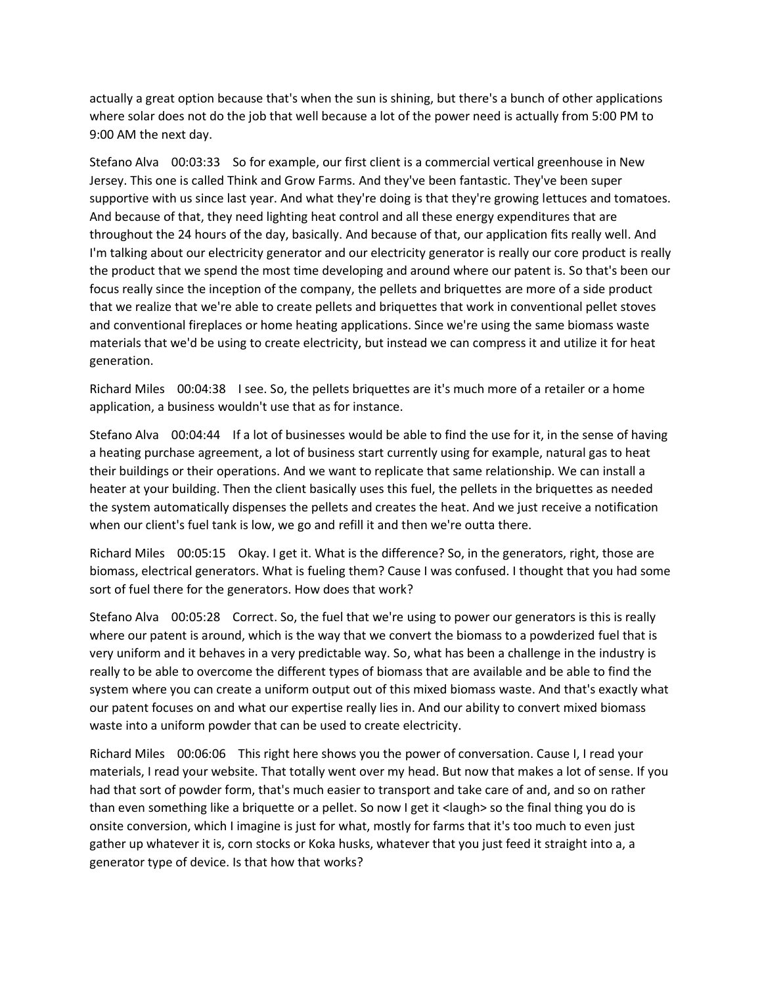actually a great option because that's when the sun is shining, but there's a bunch of other applications where solar does not do the job that well because a lot of the power need is actually from 5:00 PM to 9:00 AM the next day.

Stefano Alva 00:03:33 So for example, our first client is a commercial vertical greenhouse in New Jersey. This one is called Think and Grow Farms. And they've been fantastic. They've been super supportive with us since last year. And what they're doing is that they're growing lettuces and tomatoes. And because of that, they need lighting heat control and all these energy expenditures that are throughout the 24 hours of the day, basically. And because of that, our application fits really well. And I'm talking about our electricity generator and our electricity generator is really our core product is really the product that we spend the most time developing and around where our patent is. So that's been our focus really since the inception of the company, the pellets and briquettes are more of a side product that we realize that we're able to create pellets and briquettes that work in conventional pellet stoves and conventional fireplaces or home heating applications. Since we're using the same biomass waste materials that we'd be using to create electricity, but instead we can compress it and utilize it for heat generation.

Richard Miles 00:04:38 I see. So, the pellets briquettes are it's much more of a retailer or a home application, a business wouldn't use that as for instance.

Stefano Alva 00:04:44 If a lot of businesses would be able to find the use for it, in the sense of having a heating purchase agreement, a lot of business start currently using for example, natural gas to heat their buildings or their operations. And we want to replicate that same relationship. We can install a heater at your building. Then the client basically uses this fuel, the pellets in the briquettes as needed the system automatically dispenses the pellets and creates the heat. And we just receive a notification when our client's fuel tank is low, we go and refill it and then we're outta there.

Richard Miles 00:05:15 Okay. I get it. What is the difference? So, in the generators, right, those are biomass, electrical generators. What is fueling them? Cause I was confused. I thought that you had some sort of fuel there for the generators. How does that work?

Stefano Alva 00:05:28 Correct. So, the fuel that we're using to power our generators is this is really where our patent is around, which is the way that we convert the biomass to a powderized fuel that is very uniform and it behaves in a very predictable way. So, what has been a challenge in the industry is really to be able to overcome the different types of biomass that are available and be able to find the system where you can create a uniform output out of this mixed biomass waste. And that's exactly what our patent focuses on and what our expertise really lies in. And our ability to convert mixed biomass waste into a uniform powder that can be used to create electricity.

Richard Miles 00:06:06 This right here shows you the power of conversation. Cause I, I read your materials, I read your website. That totally went over my head. But now that makes a lot of sense. If you had that sort of powder form, that's much easier to transport and take care of and, and so on rather than even something like a briquette or a pellet. So now I get it <laugh> so the final thing you do is onsite conversion, which I imagine is just for what, mostly for farms that it's too much to even just gather up whatever it is, corn stocks or Koka husks, whatever that you just feed it straight into a, a generator type of device. Is that how that works?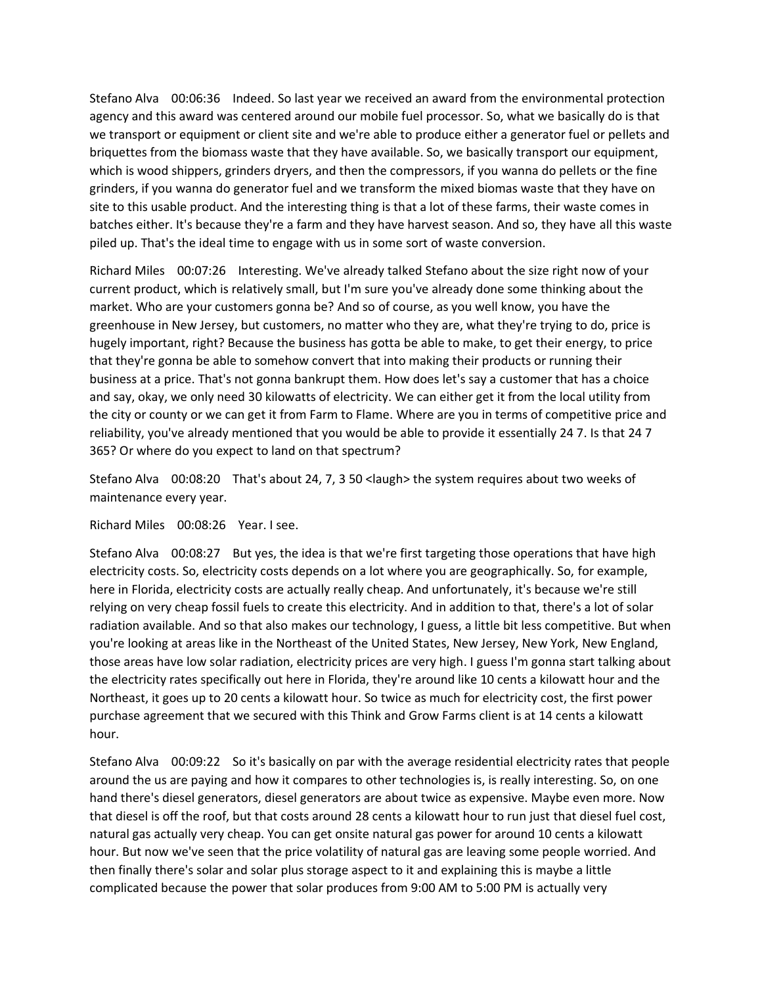Stefano Alva 00:06:36 Indeed. So last year we received an award from the environmental protection agency and this award was centered around our mobile fuel processor. So, what we basically do is that we transport or equipment or client site and we're able to produce either a generator fuel or pellets and briquettes from the biomass waste that they have available. So, we basically transport our equipment, which is wood shippers, grinders dryers, and then the compressors, if you wanna do pellets or the fine grinders, if you wanna do generator fuel and we transform the mixed biomas waste that they have on site to this usable product. And the interesting thing is that a lot of these farms, their waste comes in batches either. It's because they're a farm and they have harvest season. And so, they have all this waste piled up. That's the ideal time to engage with us in some sort of waste conversion.

Richard Miles 00:07:26 Interesting. We've already talked Stefano about the size right now of your current product, which is relatively small, but I'm sure you've already done some thinking about the market. Who are your customers gonna be? And so of course, as you well know, you have the greenhouse in New Jersey, but customers, no matter who they are, what they're trying to do, price is hugely important, right? Because the business has gotta be able to make, to get their energy, to price that they're gonna be able to somehow convert that into making their products or running their business at a price. That's not gonna bankrupt them. How does let's say a customer that has a choice and say, okay, we only need 30 kilowatts of electricity. We can either get it from the local utility from the city or county or we can get it from Farm to Flame. Where are you in terms of competitive price and reliability, you've already mentioned that you would be able to provide it essentially 24 7. Is that 24 7 365? Or where do you expect to land on that spectrum?

Stefano Alva 00:08:20 That's about 24, 7, 3 50 <laugh> the system requires about two weeks of maintenance every year.

Richard Miles 00:08:26 Year. I see.

Stefano Alva 00:08:27 But yes, the idea is that we're first targeting those operations that have high electricity costs. So, electricity costs depends on a lot where you are geographically. So, for example, here in Florida, electricity costs are actually really cheap. And unfortunately, it's because we're still relying on very cheap fossil fuels to create this electricity. And in addition to that, there's a lot of solar radiation available. And so that also makes our technology, I guess, a little bit less competitive. But when you're looking at areas like in the Northeast of the United States, New Jersey, New York, New England, those areas have low solar radiation, electricity prices are very high. I guess I'm gonna start talking about the electricity rates specifically out here in Florida, they're around like 10 cents a kilowatt hour and the Northeast, it goes up to 20 cents a kilowatt hour. So twice as much for electricity cost, the first power purchase agreement that we secured with this Think and Grow Farms client is at 14 cents a kilowatt hour.

Stefano Alva 00:09:22 So it's basically on par with the average residential electricity rates that people around the us are paying and how it compares to other technologies is, is really interesting. So, on one hand there's diesel generators, diesel generators are about twice as expensive. Maybe even more. Now that diesel is off the roof, but that costs around 28 cents a kilowatt hour to run just that diesel fuel cost, natural gas actually very cheap. You can get onsite natural gas power for around 10 cents a kilowatt hour. But now we've seen that the price volatility of natural gas are leaving some people worried. And then finally there's solar and solar plus storage aspect to it and explaining this is maybe a little complicated because the power that solar produces from 9:00 AM to 5:00 PM is actually very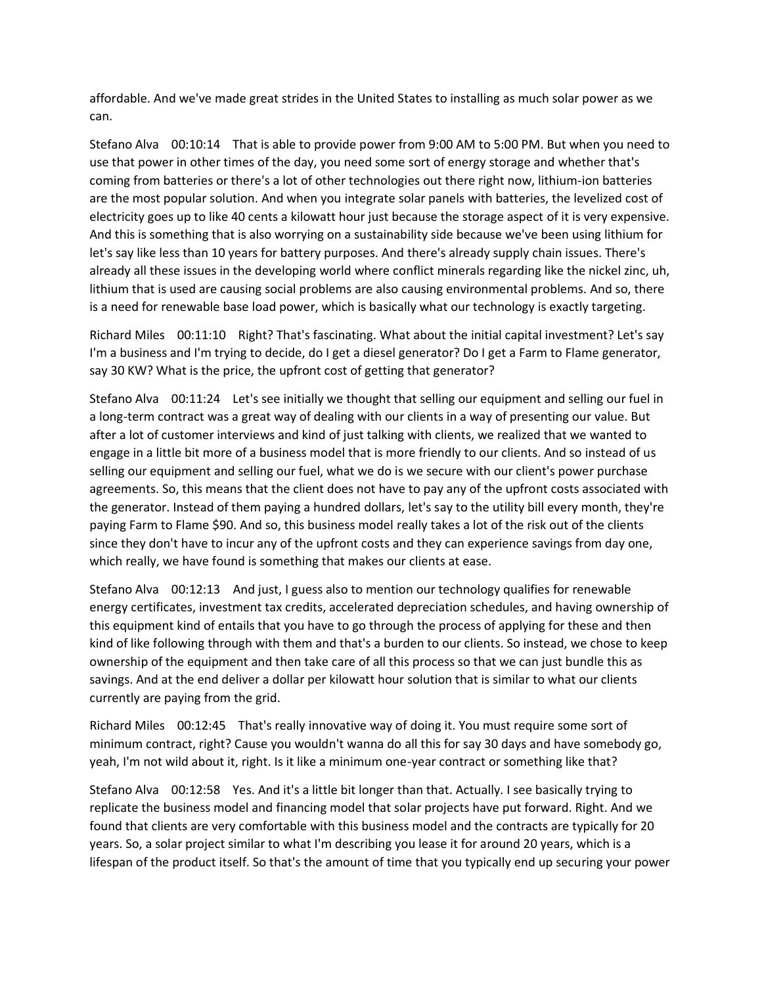affordable. And we've made great strides in the United States to installing as much solar power as we can.

Stefano Alva 00:10:14 That is able to provide power from 9:00 AM to 5:00 PM. But when you need to use that power in other times of the day, you need some sort of energy storage and whether that's coming from batteries or there's a lot of other technologies out there right now, lithium-ion batteries are the most popular solution. And when you integrate solar panels with batteries, the levelized cost of electricity goes up to like 40 cents a kilowatt hour just because the storage aspect of it is very expensive. And this is something that is also worrying on a sustainability side because we've been using lithium for let's say like less than 10 years for battery purposes. And there's already supply chain issues. There's already all these issues in the developing world where conflict minerals regarding like the nickel zinc, uh, lithium that is used are causing social problems are also causing environmental problems. And so, there is a need for renewable base load power, which is basically what our technology is exactly targeting.

Richard Miles 00:11:10 Right? That's fascinating. What about the initial capital investment? Let's say I'm a business and I'm trying to decide, do I get a diesel generator? Do I get a Farm to Flame generator, say 30 KW? What is the price, the upfront cost of getting that generator?

Stefano Alva 00:11:24 Let's see initially we thought that selling our equipment and selling our fuel in a long-term contract was a great way of dealing with our clients in a way of presenting our value. But after a lot of customer interviews and kind of just talking with clients, we realized that we wanted to engage in a little bit more of a business model that is more friendly to our clients. And so instead of us selling our equipment and selling our fuel, what we do is we secure with our client's power purchase agreements. So, this means that the client does not have to pay any of the upfront costs associated with the generator. Instead of them paying a hundred dollars, let's say to the utility bill every month, they're paying Farm to Flame \$90. And so, this business model really takes a lot of the risk out of the clients since they don't have to incur any of the upfront costs and they can experience savings from day one, which really, we have found is something that makes our clients at ease.

Stefano Alva 00:12:13 And just, I guess also to mention our technology qualifies for renewable energy certificates, investment tax credits, accelerated depreciation schedules, and having ownership of this equipment kind of entails that you have to go through the process of applying for these and then kind of like following through with them and that's a burden to our clients. So instead, we chose to keep ownership of the equipment and then take care of all this process so that we can just bundle this as savings. And at the end deliver a dollar per kilowatt hour solution that is similar to what our clients currently are paying from the grid.

Richard Miles 00:12:45 That's really innovative way of doing it. You must require some sort of minimum contract, right? Cause you wouldn't wanna do all this for say 30 days and have somebody go, yeah, I'm not wild about it, right. Is it like a minimum one-year contract or something like that?

Stefano Alva 00:12:58 Yes. And it's a little bit longer than that. Actually. I see basically trying to replicate the business model and financing model that solar projects have put forward. Right. And we found that clients are very comfortable with this business model and the contracts are typically for 20 years. So, a solar project similar to what I'm describing you lease it for around 20 years, which is a lifespan of the product itself. So that's the amount of time that you typically end up securing your power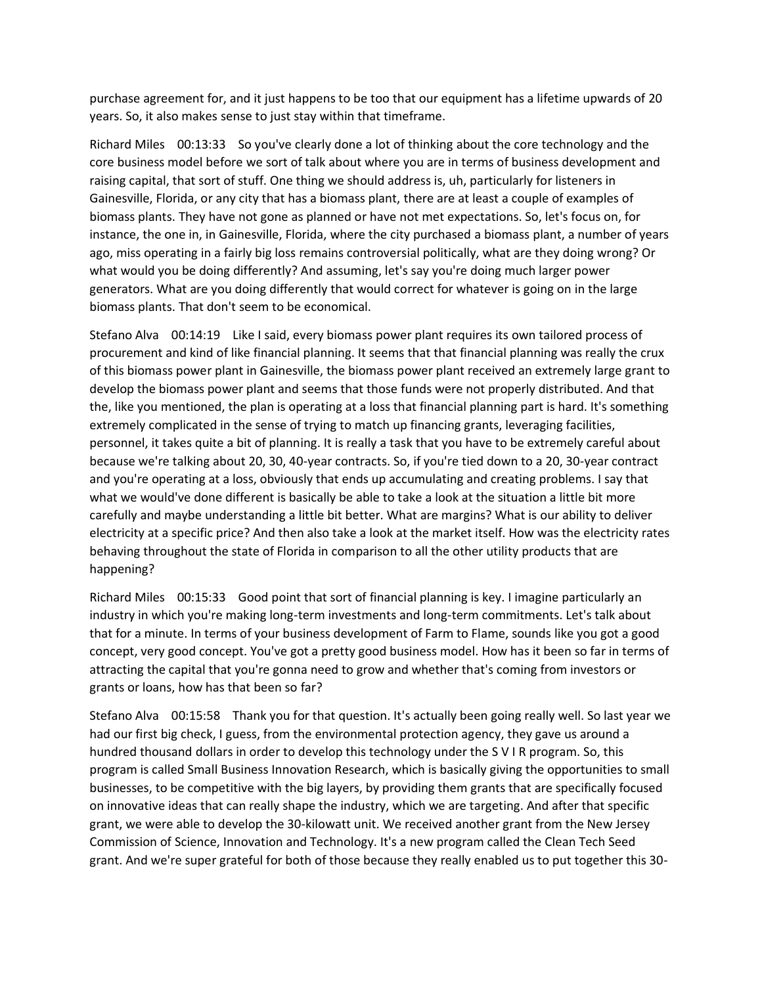purchase agreement for, and it just happens to be too that our equipment has a lifetime upwards of 20 years. So, it also makes sense to just stay within that timeframe.

Richard Miles 00:13:33 So you've clearly done a lot of thinking about the core technology and the core business model before we sort of talk about where you are in terms of business development and raising capital, that sort of stuff. One thing we should address is, uh, particularly for listeners in Gainesville, Florida, or any city that has a biomass plant, there are at least a couple of examples of biomass plants. They have not gone as planned or have not met expectations. So, let's focus on, for instance, the one in, in Gainesville, Florida, where the city purchased a biomass plant, a number of years ago, miss operating in a fairly big loss remains controversial politically, what are they doing wrong? Or what would you be doing differently? And assuming, let's say you're doing much larger power generators. What are you doing differently that would correct for whatever is going on in the large biomass plants. That don't seem to be economical.

Stefano Alva 00:14:19 Like I said, every biomass power plant requires its own tailored process of procurement and kind of like financial planning. It seems that that financial planning was really the crux of this biomass power plant in Gainesville, the biomass power plant received an extremely large grant to develop the biomass power plant and seems that those funds were not properly distributed. And that the, like you mentioned, the plan is operating at a loss that financial planning part is hard. It's something extremely complicated in the sense of trying to match up financing grants, leveraging facilities, personnel, it takes quite a bit of planning. It is really a task that you have to be extremely careful about because we're talking about 20, 30, 40-year contracts. So, if you're tied down to a 20, 30-year contract and you're operating at a loss, obviously that ends up accumulating and creating problems. I say that what we would've done different is basically be able to take a look at the situation a little bit more carefully and maybe understanding a little bit better. What are margins? What is our ability to deliver electricity at a specific price? And then also take a look at the market itself. How was the electricity rates behaving throughout the state of Florida in comparison to all the other utility products that are happening?

Richard Miles 00:15:33 Good point that sort of financial planning is key. I imagine particularly an industry in which you're making long-term investments and long-term commitments. Let's talk about that for a minute. In terms of your business development of Farm to Flame, sounds like you got a good concept, very good concept. You've got a pretty good business model. How has it been so far in terms of attracting the capital that you're gonna need to grow and whether that's coming from investors or grants or loans, how has that been so far?

Stefano Alva 00:15:58 Thank you for that question. It's actually been going really well. So last year we had our first big check, I guess, from the environmental protection agency, they gave us around a hundred thousand dollars in order to develop this technology under the S V I R program. So, this program is called Small Business Innovation Research, which is basically giving the opportunities to small businesses, to be competitive with the big layers, by providing them grants that are specifically focused on innovative ideas that can really shape the industry, which we are targeting. And after that specific grant, we were able to develop the 30-kilowatt unit. We received another grant from the New Jersey Commission of Science, Innovation and Technology. It's a new program called the Clean Tech Seed grant. And we're super grateful for both of those because they really enabled us to put together this 30-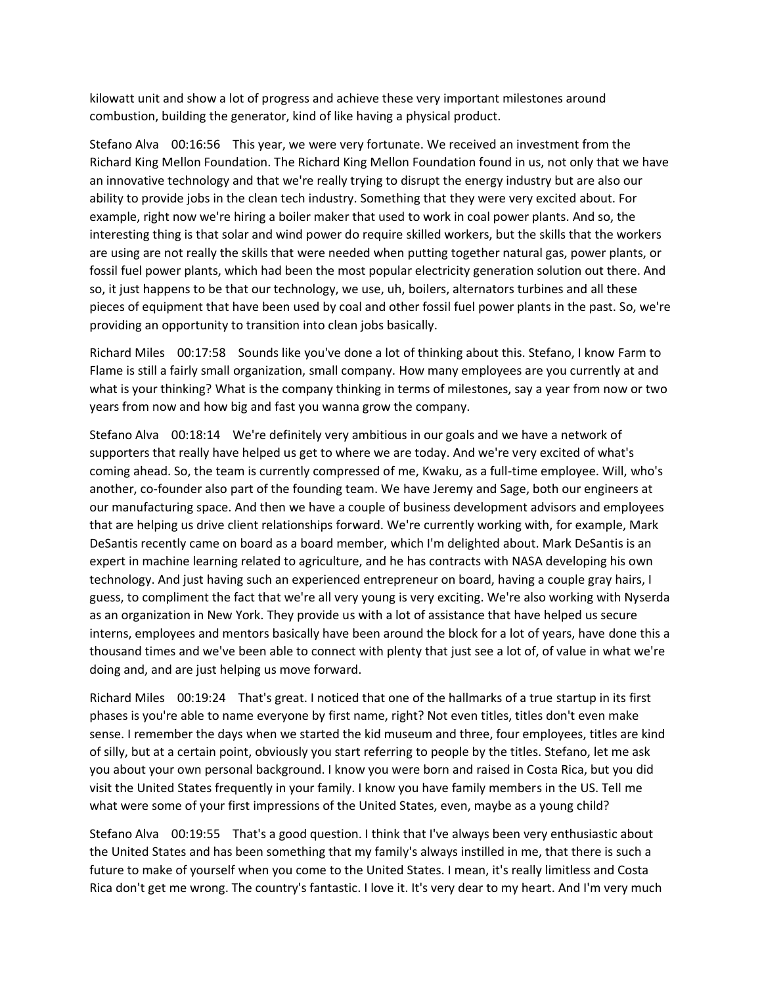kilowatt unit and show a lot of progress and achieve these very important milestones around combustion, building the generator, kind of like having a physical product.

Stefano Alva 00:16:56 This year, we were very fortunate. We received an investment from the Richard King Mellon Foundation. The Richard King Mellon Foundation found in us, not only that we have an innovative technology and that we're really trying to disrupt the energy industry but are also our ability to provide jobs in the clean tech industry. Something that they were very excited about. For example, right now we're hiring a boiler maker that used to work in coal power plants. And so, the interesting thing is that solar and wind power do require skilled workers, but the skills that the workers are using are not really the skills that were needed when putting together natural gas, power plants, or fossil fuel power plants, which had been the most popular electricity generation solution out there. And so, it just happens to be that our technology, we use, uh, boilers, alternators turbines and all these pieces of equipment that have been used by coal and other fossil fuel power plants in the past. So, we're providing an opportunity to transition into clean jobs basically.

Richard Miles 00:17:58 Sounds like you've done a lot of thinking about this. Stefano, I know Farm to Flame is still a fairly small organization, small company. How many employees are you currently at and what is your thinking? What is the company thinking in terms of milestones, say a year from now or two years from now and how big and fast you wanna grow the company.

Stefano Alva 00:18:14 We're definitely very ambitious in our goals and we have a network of supporters that really have helped us get to where we are today. And we're very excited of what's coming ahead. So, the team is currently compressed of me, Kwaku, as a full-time employee. Will, who's another, co-founder also part of the founding team. We have Jeremy and Sage, both our engineers at our manufacturing space. And then we have a couple of business development advisors and employees that are helping us drive client relationships forward. We're currently working with, for example, Mark DeSantis recently came on board as a board member, which I'm delighted about. Mark DeSantis is an expert in machine learning related to agriculture, and he has contracts with NASA developing his own technology. And just having such an experienced entrepreneur on board, having a couple gray hairs, I guess, to compliment the fact that we're all very young is very exciting. We're also working with Nyserda as an organization in New York. They provide us with a lot of assistance that have helped us secure interns, employees and mentors basically have been around the block for a lot of years, have done this a thousand times and we've been able to connect with plenty that just see a lot of, of value in what we're doing and, and are just helping us move forward.

Richard Miles 00:19:24 That's great. I noticed that one of the hallmarks of a true startup in its first phases is you're able to name everyone by first name, right? Not even titles, titles don't even make sense. I remember the days when we started the kid museum and three, four employees, titles are kind of silly, but at a certain point, obviously you start referring to people by the titles. Stefano, let me ask you about your own personal background. I know you were born and raised in Costa Rica, but you did visit the United States frequently in your family. I know you have family members in the US. Tell me what were some of your first impressions of the United States, even, maybe as a young child?

Stefano Alva 00:19:55 That's a good question. I think that I've always been very enthusiastic about the United States and has been something that my family's always instilled in me, that there is such a future to make of yourself when you come to the United States. I mean, it's really limitless and Costa Rica don't get me wrong. The country's fantastic. I love it. It's very dear to my heart. And I'm very much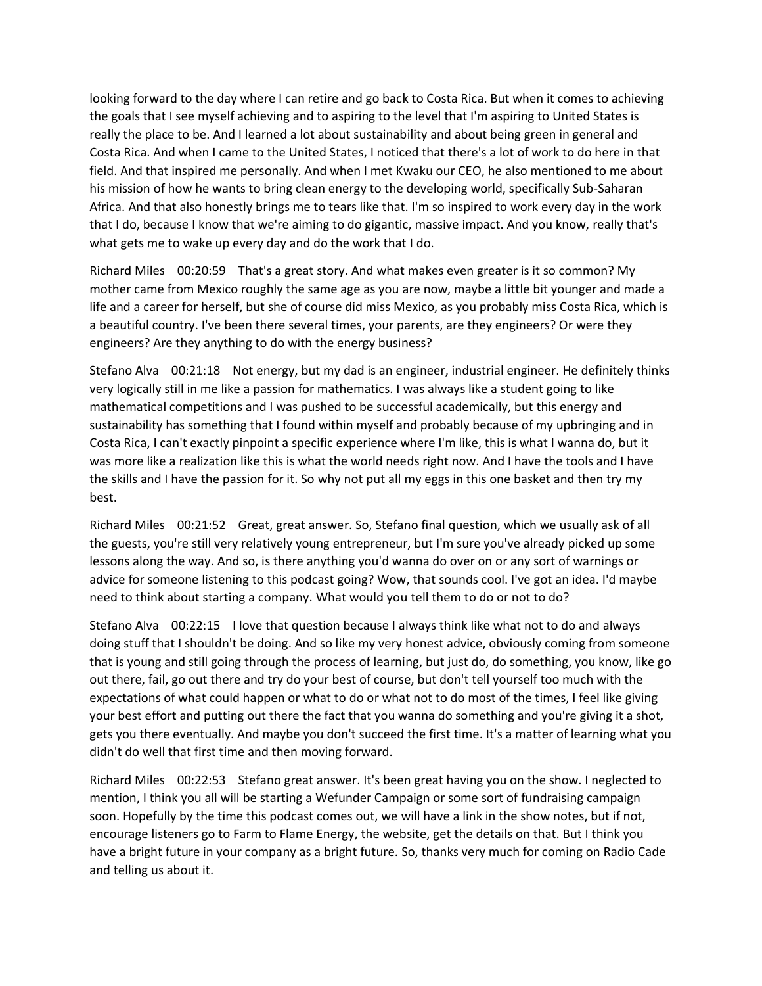looking forward to the day where I can retire and go back to Costa Rica. But when it comes to achieving the goals that I see myself achieving and to aspiring to the level that I'm aspiring to United States is really the place to be. And I learned a lot about sustainability and about being green in general and Costa Rica. And when I came to the United States, I noticed that there's a lot of work to do here in that field. And that inspired me personally. And when I met Kwaku our CEO, he also mentioned to me about his mission of how he wants to bring clean energy to the developing world, specifically Sub-Saharan Africa. And that also honestly brings me to tears like that. I'm so inspired to work every day in the work that I do, because I know that we're aiming to do gigantic, massive impact. And you know, really that's what gets me to wake up every day and do the work that I do.

Richard Miles 00:20:59 That's a great story. And what makes even greater is it so common? My mother came from Mexico roughly the same age as you are now, maybe a little bit younger and made a life and a career for herself, but she of course did miss Mexico, as you probably miss Costa Rica, which is a beautiful country. I've been there several times, your parents, are they engineers? Or were they engineers? Are they anything to do with the energy business?

Stefano Alva 00:21:18 Not energy, but my dad is an engineer, industrial engineer. He definitely thinks very logically still in me like a passion for mathematics. I was always like a student going to like mathematical competitions and I was pushed to be successful academically, but this energy and sustainability has something that I found within myself and probably because of my upbringing and in Costa Rica, I can't exactly pinpoint a specific experience where I'm like, this is what I wanna do, but it was more like a realization like this is what the world needs right now. And I have the tools and I have the skills and I have the passion for it. So why not put all my eggs in this one basket and then try my best.

Richard Miles 00:21:52 Great, great answer. So, Stefano final question, which we usually ask of all the guests, you're still very relatively young entrepreneur, but I'm sure you've already picked up some lessons along the way. And so, is there anything you'd wanna do over on or any sort of warnings or advice for someone listening to this podcast going? Wow, that sounds cool. I've got an idea. I'd maybe need to think about starting a company. What would you tell them to do or not to do?

Stefano Alva 00:22:15 I love that question because I always think like what not to do and always doing stuff that I shouldn't be doing. And so like my very honest advice, obviously coming from someone that is young and still going through the process of learning, but just do, do something, you know, like go out there, fail, go out there and try do your best of course, but don't tell yourself too much with the expectations of what could happen or what to do or what not to do most of the times, I feel like giving your best effort and putting out there the fact that you wanna do something and you're giving it a shot, gets you there eventually. And maybe you don't succeed the first time. It's a matter of learning what you didn't do well that first time and then moving forward.

Richard Miles 00:22:53 Stefano great answer. It's been great having you on the show. I neglected to mention, I think you all will be starting a Wefunder Campaign or some sort of fundraising campaign soon. Hopefully by the time this podcast comes out, we will have a link in the show notes, but if not, encourage listeners go to Farm to Flame Energy, the website, get the details on that. But I think you have a bright future in your company as a bright future. So, thanks very much for coming on Radio Cade and telling us about it.